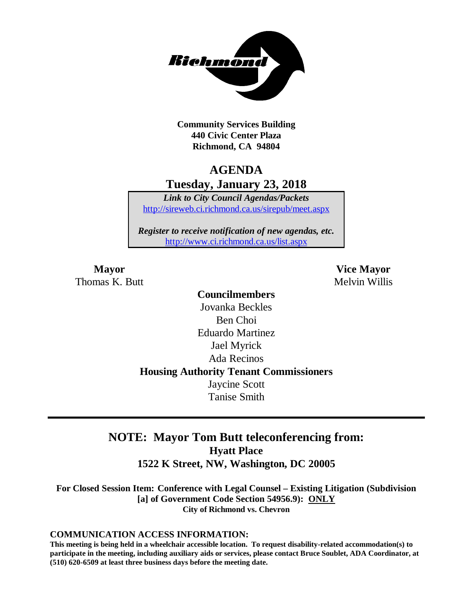

**Community Services Building 440 Civic Center Plaza Richmond, CA 94804**

## **AGENDA Tuesday, January 23, 2018**

*Link to City Council Agendas/Packets* <http://sireweb.ci.richmond.ca.us/sirepub/meet.aspx>

*Register to receive notification of new agendas, etc.* <http://www.ci.richmond.ca.us/list.aspx>

Thomas K. Butt **Melvin Willis** Melvin Willis

**Mayor Vice Mayor**

## **Councilmembers** Jovanka Beckles Ben Choi Eduardo Martinez Jael Myrick Ada Recinos **Housing Authority Tenant Commissioners** Jaycine Scott Tanise Smith

## **NOTE: Mayor Tom Butt teleconferencing from: Hyatt Place 1522 K Street, NW, Washington, DC 20005**

**For Closed Session Item: Conference with Legal Counsel – Existing Litigation (Subdivision [a] of Government Code Section 54956.9): ONLY City of Richmond vs. Chevron**

#### **COMMUNICATION ACCESS INFORMATION:**

**This meeting is being held in a wheelchair accessible location. To request disability-related accommodation(s) to participate in the meeting, including auxiliary aids or services, please contact Bruce Soublet, ADA Coordinator, at (510) 620-6509 at least three business days before the meeting date.**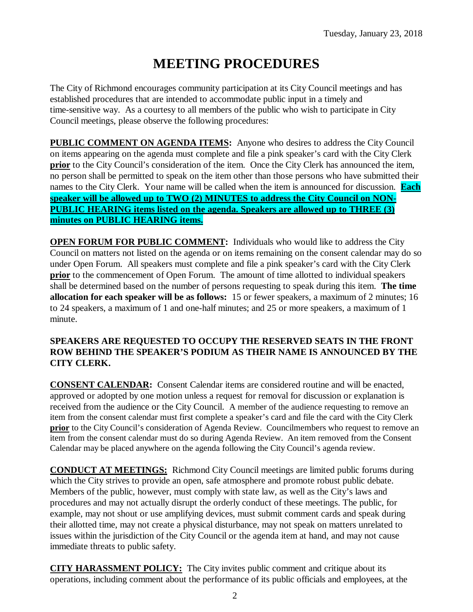# **MEETING PROCEDURES**

The City of Richmond encourages community participation at its City Council meetings and has established procedures that are intended to accommodate public input in a timely and time-sensitive way. As a courtesy to all members of the public who wish to participate in City Council meetings, please observe the following procedures:

**PUBLIC COMMENT ON AGENDA ITEMS:** Anyone who desires to address the City Council on items appearing on the agenda must complete and file a pink speaker's card with the City Clerk **prior** to the City Council's consideration of the item. Once the City Clerk has announced the item, no person shall be permitted to speak on the item other than those persons who have submitted their names to the City Clerk. Your name will be called when the item is announced for discussion. **Each speaker will be allowed up to TWO (2) MINUTES to address the City Council on NON-PUBLIC HEARING items listed on the agenda. Speakers are allowed up to THREE (3) minutes on PUBLIC HEARING items.**

**OPEN FORUM FOR PUBLIC COMMENT:** Individuals who would like to address the City Council on matters not listed on the agenda or on items remaining on the consent calendar may do so under Open Forum. All speakers must complete and file a pink speaker's card with the City Clerk **prior** to the commencement of Open Forum. The amount of time allotted to individual speakers shall be determined based on the number of persons requesting to speak during this item. **The time allocation for each speaker will be as follows:** 15 or fewer speakers, a maximum of 2 minutes; 16 to 24 speakers, a maximum of 1 and one-half minutes; and 25 or more speakers, a maximum of 1 minute.

#### **SPEAKERS ARE REQUESTED TO OCCUPY THE RESERVED SEATS IN THE FRONT ROW BEHIND THE SPEAKER'S PODIUM AS THEIR NAME IS ANNOUNCED BY THE CITY CLERK.**

**CONSENT CALENDAR:** Consent Calendar items are considered routine and will be enacted, approved or adopted by one motion unless a request for removal for discussion or explanation is received from the audience or the City Council. A member of the audience requesting to remove an item from the consent calendar must first complete a speaker's card and file the card with the City Clerk **prior** to the City Council's consideration of Agenda Review. Councilmembers who request to remove an item from the consent calendar must do so during Agenda Review. An item removed from the Consent Calendar may be placed anywhere on the agenda following the City Council's agenda review.

**CONDUCT AT MEETINGS:** Richmond City Council meetings are limited public forums during which the City strives to provide an open, safe atmosphere and promote robust public debate. Members of the public, however, must comply with state law, as well as the City's laws and procedures and may not actually disrupt the orderly conduct of these meetings. The public, for example, may not shout or use amplifying devices, must submit comment cards and speak during their allotted time, may not create a physical disturbance, may not speak on matters unrelated to issues within the jurisdiction of the City Council or the agenda item at hand, and may not cause immediate threats to public safety.

**CITY HARASSMENT POLICY:** The City invites public comment and critique about its operations, including comment about the performance of its public officials and employees, at the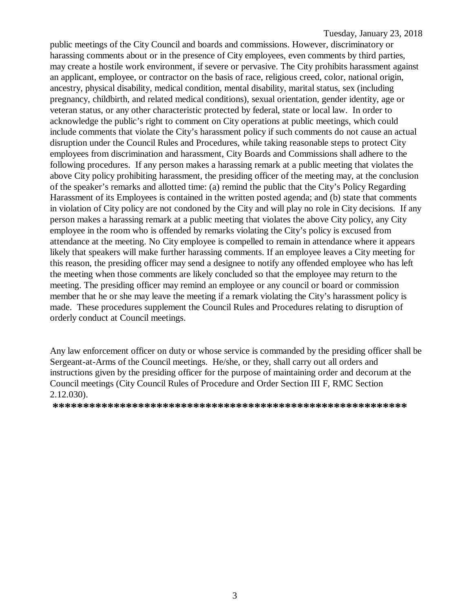public meetings of the City Council and boards and commissions. However, discriminatory or harassing comments about or in the presence of City employees, even comments by third parties, may create a hostile work environment, if severe or pervasive. The City prohibits harassment against an applicant, employee, or contractor on the basis of race, religious creed, color, national origin, ancestry, physical disability, medical condition, mental disability, marital status, sex (including pregnancy, childbirth, and related medical conditions), sexual orientation, gender identity, age or veteran status, or any other characteristic protected by federal, state or local law. In order to acknowledge the public's right to comment on City operations at public meetings, which could include comments that violate the City's harassment policy if such comments do not cause an actual disruption under the Council Rules and Procedures, while taking reasonable steps to protect City employees from discrimination and harassment, City Boards and Commissions shall adhere to the following procedures. If any person makes a harassing remark at a public meeting that violates the above City policy prohibiting harassment, the presiding officer of the meeting may, at the conclusion of the speaker's remarks and allotted time: (a) remind the public that the City's Policy Regarding Harassment of its Employees is contained in the written posted agenda; and (b) state that comments in violation of City policy are not condoned by the City and will play no role in City decisions. If any person makes a harassing remark at a public meeting that violates the above City policy, any City employee in the room who is offended by remarks violating the City's policy is excused from attendance at the meeting. No City employee is compelled to remain in attendance where it appears likely that speakers will make further harassing comments. If an employee leaves a City meeting for this reason, the presiding officer may send a designee to notify any offended employee who has left the meeting when those comments are likely concluded so that the employee may return to the meeting. The presiding officer may remind an employee or any council or board or commission member that he or she may leave the meeting if a remark violating the City's harassment policy is made. These procedures supplement the Council Rules and Procedures relating to disruption of orderly conduct at Council meetings.

Any law enforcement officer on duty or whose service is commanded by the presiding officer shall be Sergeant-at-Arms of the Council meetings. He/she, or they, shall carry out all orders and instructions given by the presiding officer for the purpose of maintaining order and decorum at the Council meetings (City Council Rules of Procedure and Order Section III F, RMC Section 2.12.030).

**\*\*\*\*\*\*\*\*\*\*\*\*\*\*\*\*\*\*\*\*\*\*\*\*\*\*\*\*\*\*\*\*\*\*\*\*\*\*\*\*\*\*\*\*\*\*\*\*\*\*\*\*\*\*\*\*\*\***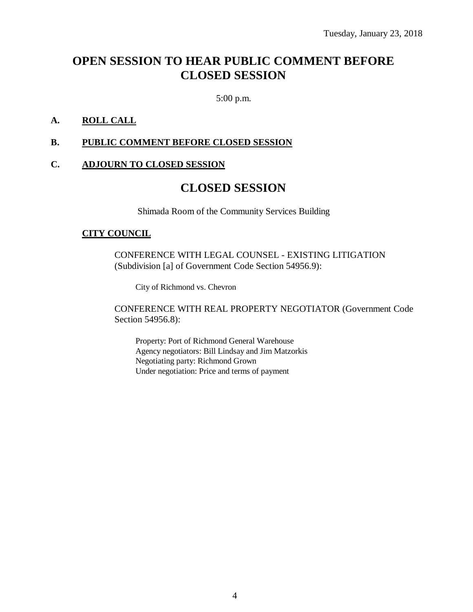## **OPEN SESSION TO HEAR PUBLIC COMMENT BEFORE CLOSED SESSION**

5:00 p.m.

#### **A. ROLL CALL**

#### **B. PUBLIC COMMENT BEFORE CLOSED SESSION**

#### **C. ADJOURN TO CLOSED SESSION**

### **CLOSED SESSION**

Shimada Room of the Community Services Building

#### **CITY COUNCIL**

CONFERENCE WITH LEGAL COUNSEL - EXISTING LITIGATION (Subdivision [a] of Government Code Section 54956.9):

City of Richmond vs. Chevron

CONFERENCE WITH REAL PROPERTY NEGOTIATOR (Government Code Section 54956.8):

Property: Port of Richmond General Warehouse Agency negotiators: Bill Lindsay and Jim Matzorkis Negotiating party: Richmond Grown Under negotiation: Price and terms of payment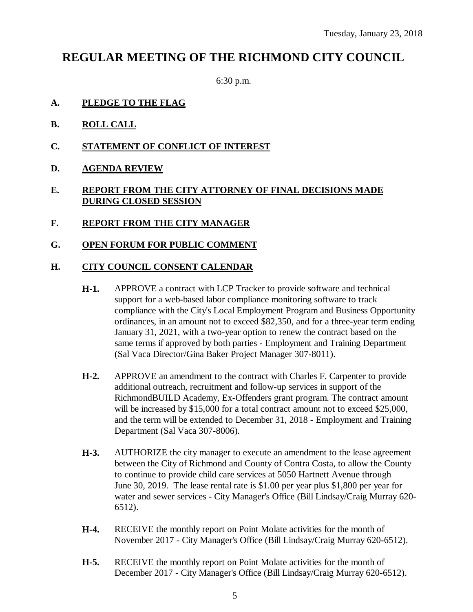## **REGULAR MEETING OF THE RICHMOND CITY COUNCIL**

6:30 p.m.

- **A. PLEDGE TO THE FLAG**
- **B. ROLL CALL**
- **C. STATEMENT OF CONFLICT OF INTEREST**
- **D. AGENDA REVIEW**

#### **E. REPORT FROM THE CITY ATTORNEY OF FINAL DECISIONS MADE DURING CLOSED SESSION**

- **F. REPORT FROM THE CITY MANAGER**
- **G. OPEN FORUM FOR PUBLIC COMMENT**

#### **H. CITY COUNCIL CONSENT CALENDAR**

- **H-1.** APPROVE a contract with LCP Tracker to provide software and technical support for a web-based labor compliance monitoring software to track compliance with the City's Local Employment Program and Business Opportunity ordinances, in an amount not to exceed \$82,350, and for a three-year term ending January 31, 2021, with a two-year option to renew the contract based on the same terms if approved by both parties - Employment and Training Department (Sal Vaca Director/Gina Baker Project Manager 307-8011).
- **H-2.** APPROVE an amendment to the contract with Charles F. Carpenter to provide additional outreach, recruitment and follow-up services in support of the RichmondBUILD Academy, Ex-Offenders grant program. The contract amount will be increased by \$15,000 for a total contract amount not to exceed \$25,000, and the term will be extended to December 31, 2018 - Employment and Training Department (Sal Vaca 307-8006).
- **H-3.** AUTHORIZE the city manager to execute an amendment to the lease agreement between the City of Richmond and County of Contra Costa, to allow the County to continue to provide child care services at 5050 Hartnett Avenue through June 30, 2019. The lease rental rate is \$1.00 per year plus \$1,800 per year for water and sewer services - City Manager's Office (Bill Lindsay/Craig Murray 620- 6512).
- **H-4.** RECEIVE the monthly report on Point Molate activities for the month of November 2017 - City Manager's Office (Bill Lindsay/Craig Murray 620-6512).
- **H-5.** RECEIVE the monthly report on Point Molate activities for the month of December 2017 - City Manager's Office (Bill Lindsay/Craig Murray 620-6512).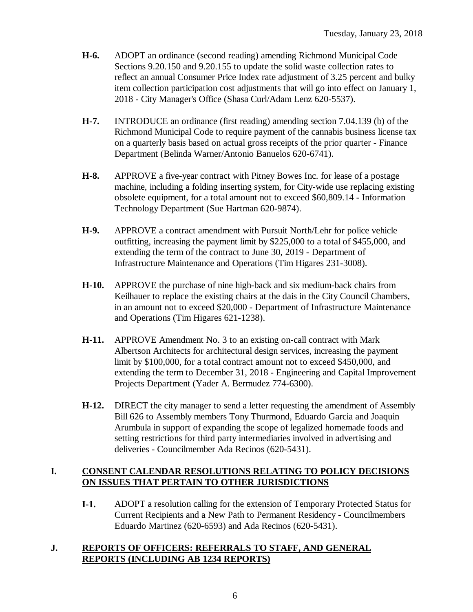- **H-6.** ADOPT an ordinance (second reading) amending Richmond Municipal Code Sections 9.20.150 and 9.20.155 to update the solid waste collection rates to reflect an annual Consumer Price Index rate adjustment of 3.25 percent and bulky item collection participation cost adjustments that will go into effect on January 1, 2018 - City Manager's Office (Shasa Curl/Adam Lenz 620-5537).
- **H-7.** INTRODUCE an ordinance (first reading) amending section 7.04.139 (b) of the Richmond Municipal Code to require payment of the cannabis business license tax on a quarterly basis based on actual gross receipts of the prior quarter - Finance Department (Belinda Warner/Antonio Banuelos 620-6741).
- **H-8.** APPROVE a five-year contract with Pitney Bowes Inc. for lease of a postage machine, including a folding inserting system, for City-wide use replacing existing obsolete equipment, for a total amount not to exceed \$60,809.14 - Information Technology Department (Sue Hartman 620-9874).
- **H-9.** APPROVE a contract amendment with Pursuit North/Lehr for police vehicle outfitting, increasing the payment limit by \$225,000 to a total of \$455,000, and extending the term of the contract to June 30, 2019 - Department of Infrastructure Maintenance and Operations (Tim Higares 231-3008).
- **H-10.** APPROVE the purchase of nine high-back and six medium-back chairs from Keilhauer to replace the existing chairs at the dais in the City Council Chambers, in an amount not to exceed \$20,000 - Department of Infrastructure Maintenance and Operations (Tim Higares 621-1238).
- **H-11.** APPROVE Amendment No. 3 to an existing on-call contract with Mark Albertson Architects for architectural design services, increasing the payment limit by \$100,000, for a total contract amount not to exceed \$450,000, and extending the term to December 31, 2018 - Engineering and Capital Improvement Projects Department (Yader A. Bermudez 774-6300).
- **H-12.** DIRECT the city manager to send a letter requesting the amendment of Assembly Bill 626 to Assembly members Tony Thurmond, Eduardo Garcia and Joaquin Arumbula in support of expanding the scope of legalized homemade foods and setting restrictions for third party intermediaries involved in advertising and deliveries - Councilmember Ada Recinos (620-5431).

#### **I. CONSENT CALENDAR RESOLUTIONS RELATING TO POLICY DECISIONS ON ISSUES THAT PERTAIN TO OTHER JURISDICTIONS**

**I-1.** ADOPT a resolution calling for the extension of Temporary Protected Status for Current Recipients and a New Path to Permanent Residency - Councilmembers Eduardo Martinez (620-6593) and Ada Recinos (620-5431).

#### **J. REPORTS OF OFFICERS: REFERRALS TO STAFF, AND GENERAL REPORTS (INCLUDING AB 1234 REPORTS)**